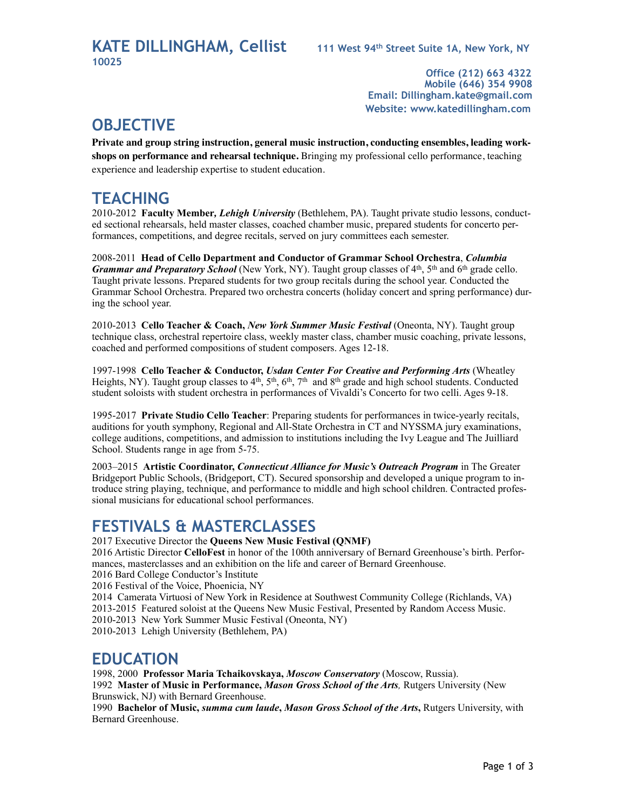**KATE DILLINGHAM, Cellist** 111 West 94th Street Suite 1A, New York, NY **10025**

 **Office (212) 663 4322 Mobile (646) 354 9908 Email: Dillingham.kate@gmail.com Website: www.katedillingham.com**

## **OBJECTIVE**

**Private and group string instruction, general music instruction, conducting ensembles, leading workshops on performance and rehearsal technique.** Bringing my professional cello performance, teaching experience and leadership expertise to student education.

# **TEACHING**

2010-2012 **Faculty Member***, Lehigh University* (Bethlehem, PA). Taught private studio lessons, conducted sectional rehearsals, held master classes, coached chamber music, prepared students for concerto performances, competitions, and degree recitals, served on jury committees each semester.

2008-2011 **Head of Cello Department and Conductor of Grammar School Orchestra**, *Columbia Grammar and Preparatory School* (New York, NY). Taught group classes of 4<sup>th</sup>, 5<sup>th</sup> and 6<sup>th</sup> grade cello. Taught private lessons. Prepared students for two group recitals during the school year. Conducted the Grammar School Orchestra. Prepared two orchestra concerts (holiday concert and spring performance) during the school year.

2010-2013 **Cello Teacher & Coach,** *New York Summer Music Festival* (Oneonta, NY). Taught group technique class, orchestral repertoire class, weekly master class, chamber music coaching, private lessons, coached and performed compositions of student composers. Ages 12-18.

1997-1998 **Cello Teacher & Conductor,** *Usdan Center For Creative and Performing Arts* (Wheatley Heights, NY). Taught group classes to 4<sup>th</sup>, 5<sup>th</sup>, 6<sup>th</sup>, 7<sup>th</sup> and 8<sup>th</sup> grade and high school students. Conducted student soloists with student orchestra in performances of Vivaldi's Concerto for two celli. Ages 9-18.

1995-2017 **Private Studio Cello Teacher**: Preparing students for performances in twice-yearly recitals, auditions for youth symphony, Regional and All-State Orchestra in CT and NYSSMA jury examinations, college auditions, competitions, and admission to institutions including the Ivy League and The Juilliard School. Students range in age from 5-75.

2003–2015 **Artistic Coordinator,** *Connecticut Alliance for Music's Outreach Program* in The Greater Bridgeport Public Schools, (Bridgeport, CT). Secured sponsorship and developed a unique program to introduce string playing, technique, and performance to middle and high school children. Contracted professional musicians for educational school performances.

# **FESTIVALS & MASTERCLASSES**

#### 2017 Executive Director the **Queens New Music Festival (QNMF)**

2016 Artistic Director **CelloFest** in honor of the 100th anniversary of Bernard Greenhouse's birth. Performances, masterclasses and an exhibition on the life and career of Bernard Greenhouse.

2016 Bard College Conductor's Institute

2016 Festival of the Voice, Phoenicia, NY

2014 Camerata Virtuosi of New York in Residence at Southwest Community College (Richlands, VA) 2013-2015 Featured soloist at the Queens New Music Festival, Presented by Random Access Music.

2010-2013 New York Summer Music Festival (Oneonta, NY)

2010-2013 Lehigh University (Bethlehem, PA)

#### **EDUCATION**

1998, 2000 **Professor Maria Tchaikovskaya,** *Moscow Conservatory* (Moscow, Russia). 1992 **Master of Music in Performance,** *Mason Gross School of the Arts,* Rutgers University (New Brunswick, NJ) with Bernard Greenhouse.

1990 **Bachelor of Music,** *summa cum laude***,** *Mason Gross School of the Arts***,** Rutgers University, with Bernard Greenhouse.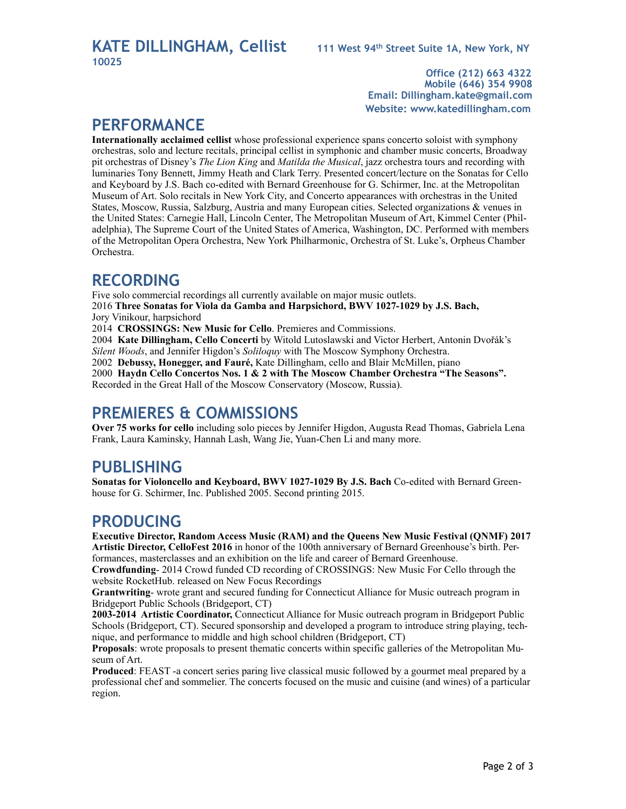**Office (212) 663 4322 Mobile (646) 354 9908 Email: Dillingham.kate@gmail.com Website: www.katedillingham.com**

#### **PERFORMANCE**

**Internationally acclaimed cellist** whose professional experience spans concerto soloist with symphony orchestras, solo and lecture recitals, principal cellist in symphonic and chamber music concerts, Broadway pit orchestras of Disney's *The Lion King* and *Matilda the Musical*, jazz orchestra tours and recording with luminaries Tony Bennett, Jimmy Heath and Clark Terry. Presented concert/lecture on the Sonatas for Cello and Keyboard by J.S. Bach co-edited with Bernard Greenhouse for G. Schirmer, Inc. at the Metropolitan Museum of Art. Solo recitals in New York City, and Concerto appearances with orchestras in the United States, Moscow, Russia, Salzburg, Austria and many European cities. Selected organizations & venues in the United States: Carnegie Hall, Lincoln Center, The Metropolitan Museum of Art, Kimmel Center (Philadelphia), The Supreme Court of the United States of America, Washington, DC. Performed with members of the Metropolitan Opera Orchestra, New York Philharmonic, Orchestra of St. Luke's, Orpheus Chamber Orchestra.

## **RECORDING**

Five solo commercial recordings all currently available on major music outlets. 2016 **Three Sonatas for Viola da Gamba and Harpsichord, BWV 1027-1029 by J.S. Bach,**  Jory Vinikour, harpsichord 2014 **CROSSINGS: New Music for Cello**. Premieres and Commissions. 2004 **Kate Dillingham, Cello Concerti** by Witold Lutoslawski and Victor Herbert, Antonin Dvořák's *Silent Woods*, and Jennifer Higdon's *Soliloquy* with The Moscow Symphony Orchestra. 2002 **Debussy, Honegger, and Fauré,** Kate Dillingham, cello and Blair McMillen, piano 2000 **Haydn Cello Concertos Nos. 1 & 2 with The Moscow Chamber Orchestra "The Seasons".** Recorded in the Great Hall of the Moscow Conservatory (Moscow, Russia).

## **PREMIERES & COMMISSIONS**

**Over 75 works for cello** including solo pieces by Jennifer Higdon, Augusta Read Thomas, Gabriela Lena Frank, Laura Kaminsky, Hannah Lash, Wang Jie, Yuan-Chen Li and many more.

## **PUBLISHING**

**Sonatas for Violoncello and Keyboard, BWV 1027-1029 By J.S. Bach** Co-edited with Bernard Greenhouse for G. Schirmer, Inc. Published 2005. Second printing 2015.

## **PRODUCING**

**Executive Director, Random Access Music (RAM) and the Queens New Music Festival (QNMF) 2017 Artistic Director, CelloFest 2016** in honor of the 100th anniversary of Bernard Greenhouse's birth. Performances, masterclasses and an exhibition on the life and career of Bernard Greenhouse.

**Crowdfunding**- 2014 Crowd funded CD recording of CROSSINGS: New Music For Cello through the website RocketHub. released on New Focus Recordings

**Grantwriting**- wrote grant and secured funding for Connecticut Alliance for Music outreach program in Bridgeport Public Schools (Bridgeport, CT)

**2003-2014 Artistic Coordinator,** Connecticut Alliance for Music outreach program in Bridgeport Public Schools (Bridgeport, CT). Secured sponsorship and developed a program to introduce string playing, technique, and performance to middle and high school children (Bridgeport, CT)

**Proposals**: wrote proposals to present thematic concerts within specific galleries of the Metropolitan Museum of Art.

**Produced**: FEAST -a concert series paring live classical music followed by a gourmet meal prepared by a professional chef and sommelier. The concerts focused on the music and cuisine (and wines) of a particular region.